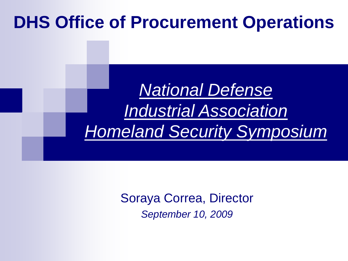# **DHS Office of Procurement Operations**

# *National Defense Industrial Association Homeland Security Symposium*

Soraya Correa, Director *September 10, 2009*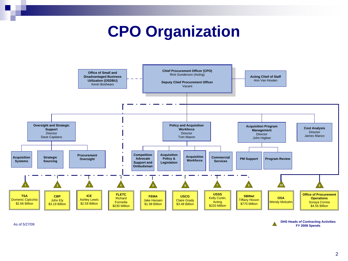## **CPO Organization**



As of 5/27/09

**DHS Heads of Contracting Activities FY 2008 Spends**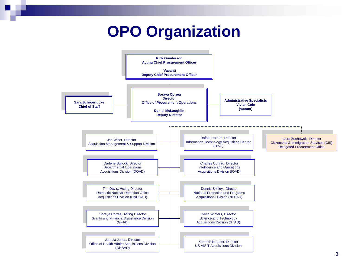## **OPO Organization**

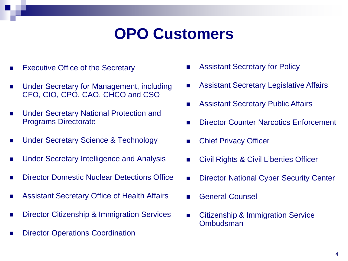## **OPO Customers**

- Executive Office of the Secretary
- Under Secretary for Management, including CFO, CIO, CPO, CAO, CHCO and CSO
- **Under Secretary National Protection and** Programs Directorate
- Under Secretary Science & Technology
- Under Secretary Intelligence and Analysis
- **Director Domestic Nuclear Detections Office**
- Assistant Secretary Office of Health Affairs
- **Director Citizenship & Immigration Services**
- **Director Operations Coordination**
- **Assistant Secretary for Policy**
- Assistant Secretary Legislative Affairs
- **Assistant Secretary Public Affairs**
- **Director Counter Narcotics Enforcement**
- Chief Privacy Officer
- **Civil Rights & Civil Liberties Officer**
- **Director National Cyber Security Center**
- General Counsel
- Citizenship & Immigration Service **Ombudsman**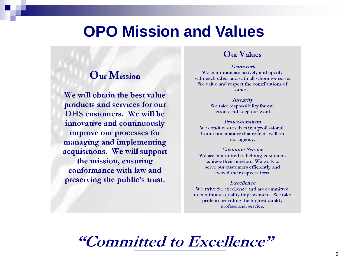### **OPO Mission and Values**

### **Our Mission**

We will obtain the best value products and services for our DHS customers. We will be innovative and continuously improve our processes for managing and implementing acquisitions. We will support the mission, ensuring conformance with law and preserving the public's trust.

### $Q<sub>ur</sub>  $V<sub>alues</sub>$$

**Teamwork** We communicate actively and openly with each other and with all whom we serve. We value and respect the contributions of others.

> Integrity We take responsibility for our actions and keep our word.

Professionalism We conduct ourselves in a professional, Courteous manner that reflects well on our agency.

**Customer Service** We are committed to helping customers achieve their mission. We work to serve our customers efficiently and exceed their expectations.

#### **Excellence**

We strive for excellence and are committed to continuous quality improvement. We take pride in providing the highest quality professional service.

"Committed to Excellence"